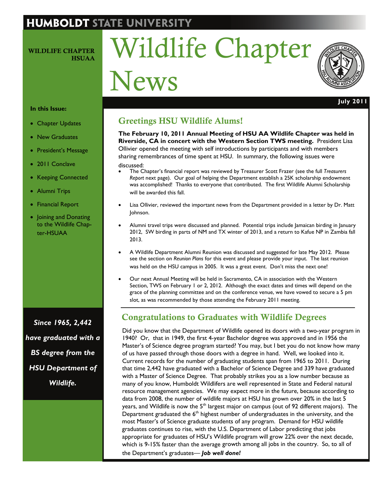# **HUMBOLDT STATE UNIVERSIT**

#### WILDLIFE CHAPTER **HSUAA**

# Wildlife Chapter News



**July 2011** 

#### **In this Issue:**

- Chapter Updates
- New Graduates
- President's Message
- 2011 Conclave
- Keeping Connected
- Alumni Trips
- Financial Report
- Joining and Donating to the Wildlife Chapter-HSUAA

*Since 1965, 2,442 have graduated with a BS degree from the HSU Department of Wildlife.* 

# Greetings HSU Wildlife Alums!

**The February 10, 2011 Annual Meeting of HSU AA Wildlife Chapter was held in Riverside, CA in concert with the Western Section TWS meeting.** President Lisa Ollivier opened the meeting with self introductions by participants and with members sharing remembrances of time spent at HSU. In summary, the following issues were discussed:

- The Chapter's financial report was reviewed by Treasurer Scott Frazer (see the full *Treasurers Report* next page). Our goal of helping the Department establish a 25K scholarship endowment was accomplished! Thanks to everyone that contributed. The first Wildlife Alumni Scholarship will be awarded this fall.
- Lisa Ollivier, reviewed the important news from the Department provided in a letter by Dr. Matt Johnson.
- Alumni travel trips were discussed and planned. Potential trips include Jamaican birding in January 2012, SW birding in parts of NM and TX winter of 2013, and a return to Kafue NP in Zambia fall 2013.
- A Wildlife Department Alumni Reunion was discussed and suggested for late May 2012. Please see the section on *Reunion Plans* for this event and please provide your input. The last reunion was held on the HSU campus in 2005. It was a great event. Don't miss the next one!
- Our next Annual Meeting will be held in Sacramento, CA in association with the Western Section, TWS on February 1 or 2, 2012. Although the exact dates and times will depend on the grace of the planning committee and on the conference venue, we have vowed to secure a 5 pm slot, as was recommended by those attending the February 2011 meeting.

# Congratulations to Graduates with Wildlife Degrees

Did you know that the Department of Wildlife opened its doors with a two-year program in 1940? Or, that in 1949, the first 4-year Bachelor degree was approved and in 1956 the Master's of Science degree program started? You may, but I bet you do not know how many of us have passed through those doors with a degree in hand. Well, we looked into it. Current records for the number of graduating students span from 1965 to 2011. During that time 2,442 have graduated with a Bachelor of Science Degree and 339 have graduated with a Master of Science Degree. That probably strikes you as a low number because as many of you know, Humboldt Wildlifers are well represented in State and Federal natural resource management agencies. We may expect more in the future, because according to data from 2008, the number of wildlife majors at HSU has grown over 20% in the last 5 years, and Wildlife is now the  $5<sup>th</sup>$  largest major on campus (out of 92 different majors). The Department graduated the  $6<sup>th</sup>$  highest number of undergraduates in the university, and the most Master's of Science graduate students of any program. Demand for HSU wildlife graduates continues to rise, with the [U.S. Department of Labor](http://www.bls.gov/oco/) predicting that jobs appropriate for graduates of HSU's Wildlife program will grow 22% over the next decade, which is 9-15% faster than the average growth among all jobs in the country. So, to all of the Department's graduates— *Job well done!*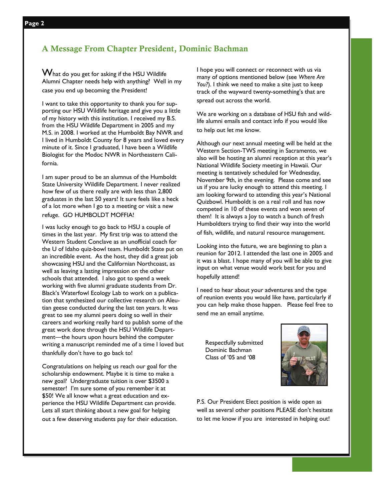$\mathbf W$ hat do you get for asking if the HSU Wildlife Alumni Chapter needs help with anything? Well in my case you end up becoming the President!

I want to take this opportunity to thank you for supporting our HSU Wildlife heritage and give you a little of my history with this institution. I received my B.S. from the HSU Wildlife Department in 2005 and my M.S. in 2008. I worked at the Humboldt Bay NWR and I lived in Humboldt County for 8 years and loved every minute of it. Since I graduated, I have been a Wildlife Biologist for the Modoc NWR in Northeastern California.

I am super proud to be an alumnus of the Humboldt State University Wildlife Department. I never realized how few of us there really are with less than 2,800 graduates in the last 50 years! It sure feels like a heck of a lot more when I go to a meeting or visit a new refuge. GO HUMBOLDT MOFFIA!

I was lucky enough to go back to HSU a couple of times in the last year. My first trip was to attend the Western Student Conclave as an unofficial coach for the U of Idaho quiz-bowl team. Humboldt State put on an incredible event. As the host, they did a great job showcasing HSU and the Californian Northcoast, as well as leaving a lasting impression on the other schools that attended. I also got to spend a week working with five alumni graduate students from Dr. Black's Waterfowl Ecology Lab to work on a publication that synthesized our collective research on Aleutian geese conducted during the last ten years. It was great to see my alumni peers doing so well in their careers and working really hard to publish some of the great work done through the HSU Wildlife Department—the hours upon hours behind the computer writing a manuscript reminded me of a time I loved but thankfully don't have to go back to!

Congratulations on helping us reach our goal for the scholarship endowment. Maybe it is time to make a new goal? Undergraduate tuition is over \$3500 a semester! I'm sure some of you remember it at \$50! We all know what a great education and experience the HSU Wildlife Department can provide. Lets all start thinking about a new goal for helping out a few deserving students pay for their education.

I hope you will connect or reconnect with us via many of options mentioned below (see *Where Are You?*). I think we need to make a site just to keep track of the wayward twenty-something's that are spread out across the world.

We are working on a database of HSU fish and wildlife alumni emails and contact info if you would like to help out let me know.

Although our next annual meeting will be held at the Western Section-TWS meeting in Sacramento, we also will be hosting an alumni reception at this year's National Wildlife Society meeting in Hawaii. Our meeting is tentatively scheduled for Wednesday, November 9th, in the evening. Please come and see us if you are lucky enough to attend this meeting. I am looking forward to attending this year's National Quizbowl. Humboldt is on a real roll and has now competed in 10 of these events and won seven of them! It is always a Joy to watch a bunch of fresh Humboldters trying to find their way into the world of fish, wildlife, and natural resource management.

Looking into the future, we are beginning to plan a reunion for 2012. I attended the last one in 2005 and it was a blast. I hope many of you will be able to give input on what venue would work best for you and hopefully attend!

I need to hear about your adventures and the type of reunion events you would like have, particularly if you can help make those happen. Please feel free to send me an email anytime.

Respectfully submitted Dominic Bachman Class of '05 and '08



P.S. Our President Elect position is wide open as well as several other positions PLEASE don't hesitate to let me know if you are interested in helping out!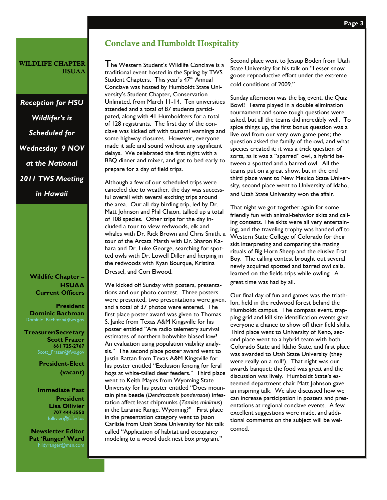#### WILDLIFE CHAPTER **HSUAA**

*Reception for HSU Wildlifer's is Scheduled for Wednesday 9 NOV at the National 2011 TWS Meeting in Hawaii* 

> **Wildlife Chapter – HSUAA Current Officers**

**President Dominic Bachman** 

**Treasurer/Secretary Scott Frazer 661 725-2767** 

> **President-Elect (vacant)**

#### **Immediate Past President Lisa Ollivier**

**707 444-3550** 

**Newsletter Editor Pat 'Ranger' Ward** hildyranger@msn.com

#### Conclave and Humboldt Hospitality

I he Western Student's Wildlife Conclave is a traditional event hosted in the Spring by TWS Student Chapters. This year's 47<sup>th</sup> Annual Conclave was hosted by Humboldt State University's Student Chapter, Conservation Unlimited, from March 11-14. Ten universities attended and a total of 87 students participated, along with 41 Humboldters for a total of 128 registrants. The first day of the conclave was kicked off with tsunami warnings and some highway closures. However, everyone made it safe and sound without any significant delays. We celebrated the first night with a BBQ dinner and mixer, and got to bed early to prepare for a day of field trips.

Although a few of our scheduled trips were canceled due to weather, the day was successful overall with several exciting trips around the area. Our all day birding trip, led by Dr. Matt Johnson and Phil Chaon, tallied up a total of 108 species. Other trips for the day included a tour to view redwoods, elk and whales with Dr. Rick Brown and Chris Smith, a tour of the Arcata Marsh with Dr. Sharon Kahara and Dr. Luke George, searching for spotted owls with Dr. Lowell Diller and herping in the redwoods with Ryan Bourque, Kristina Dressel, and Cori Elwood.

We kicked off Sunday with posters, presentations and our photo contest. Three posters were presented, two presentations were given, and a total of 37 photos were entered. The first place poster award was given to Thomas S. Janke from Texas A&M Kingsville for his poster entitled "Are radio telemetry survival estimates of northern bobwhite biased low? An evaluation using population viability analysis." The second place poster award went to Justin Rattan from Texas A&M Kingsville for his poster entitled "Exclusion fencing for feral hogs at white-tailed deer feeders." Third place went to Keith Mayes from Wyoming State University for his poster entitled "Does mountain pine beetle (*Dendroctonis ponderosae*) infestation affect least chipmunks (*Tamias minimus*) in the Laramie Range, Wyoming?" First place in the presentation category went to Jason Carlisle from Utah State University for his talk called "Application of habitat and occupancy modeling to a wood duck nest box program."

Second place went to Jessup Boden from Utah State University for his talk on "Lesser snow goose reproductive effort under the extreme cold conditions of 2009."

Sunday afternoon was the big event, the Quiz Bowl! Teams played in a double elimination tournament and some tough questions were asked, but all the teams did incredibly well. To spice things up, the first bonus question was a live owl from our very own game pens; the question asked the family of the owl, and what species created it; it was a trick question of sorts, as it was a "sparred" owl, a hybrid between a spotted and a barred owl. All the teams put on a great show, but in the end third place went to New Mexico State University, second place went to University of Idaho, and Utah State University won the affair.

That night we got together again for some friendly fun with animal-behavior skits and calling contests. The skits were all very entertaining, and the traveling trophy was handed off to Western State College of Colorado for their skit interpreting and comparing the mating rituals of Big Horn Sheep and the elusive Frat Boy. The calling contest brought out several newly acquired spotted and barred owl calls, learned on the fields trips while owling. A great time was had by all.

Our final day of fun and games was the triathlon, held in the redwood forest behind the Humboldt campus. The compass event, trapping grid and kill site identification events gave everyone a chance to show off their field skills. Third place went to University of Reno, second place went to a hybrid team with both Colorado State and Idaho State, and first place was awarded to Utah State University (they were really on a roll!). That night was our awards banquet; the food was great and the discussion was lively. Humboldt State's esteemed department chair Matt Johnson gave an inspiring talk. We also discussed how we can increase participation in posters and presentations at regional conclave events. A few excellent suggestions were made, and additional comments on the subject will be welcomed.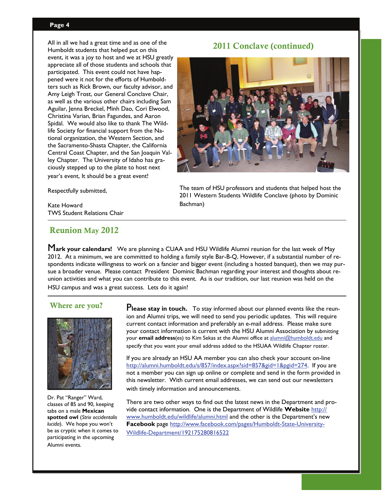#### **Page 4**

All in all we had a great time and as one of the Humboldt students that helped put on this event, it was a joy to host and we at HSU greatly appreciate all of those students and schools that participated. This event could not have happened were it not for the efforts of Humboldters such as Rick Brown, our faculty advisor, and Amy Leigh Trost, our General Conclave Chair, as well as the various other chairs including Sam Aguilar, Jenna Breckel, Minh Dao, Cori Elwood, Christina Varian, Brian Fagundes, and Aaron Spidal. We would also like to thank The Wildlife Society for financial support from the National organization, the Western Section, and the Sacramento-Shasta Chapter, the California Central Coast Chapter, and the San Joaquin Valley Chapter. The University of Idaho has graciously stepped up to the plate to host next year's event, It should be a great event!

2011 Conclave (continued)



Respectfully submitted,

Kate Howard TWS Student Relations Chair

#### Reunion May 2012

The team of HSU professors and students that helped host the 2011 Western Students Wildlife Conclave (photo by Dominic Bachman)

M**ark your calendars!** We are planning a CUAA and HSU Wildlife Alumni reunion for the last week of May 2012. At a minimum, we are committed to holding a family style Bar-B-Q, However, if a substantial number of respondents indicate willingness to work on a fancier and bigger event (including a hosted banquet), then we may pursue a broader venue. Please contact President Dominic Bachman regarding your interest and thoughts about reunion activities and what you can contribute to this event. As is our tradition, our last reunion was held on the HSU campus and was a great success. Lets do it again!



Dr. Pat "Ranger" Ward, classes of 85 and 90, keeping tabs on a male **Mexican spotted owl** (*Strix occidentalis lucida*). We hope you won't be as cryptic when it comes to participating in the upcoming Alumni events.

Where are you? **Please stay in touch.** To stay informed about our planned events like the reunion and Alumni trips, we will need to send you periodic updates. This will require current contact information and preferably an e-mail address. Please make sure your contact information is current with the HSU Alumni Association by submitting your **email address**(es) to Kim Sekas at the Alumni office at [alumni@humboldt.edu](mailto:alumni@humboldt.edu) and specify that you want your email address added to the HSUAA Wildlife Chapter roster.

> If you are already an HSU AA member you can also check your account on-line [http://alumni.humboldt.edu/s/857/index.aspx?sid=857&gid=1&pgid=274.](http://alumni.humboldt.edu/s/857/index.aspx?sid=857&gid=1&pgid=274) If you are not a member you can sign up online or complete and send in the form provided in this newsletter. With current email addresses, we can send out our newsletters with timely information and announcements.

There are two other ways to find out the latest news in the Department and provide contact information. One is the Department of Wildlife **Website** [http://](http://www.humboldt.edu/wildlife/alumni.html) [www.humboldt.edu/wildlife/alumni.html](http://www.humboldt.edu/wildlife/alumni.html) and the other is the Department's new **Facebook** page [http://www.facebook.com/pages/Humboldt-State-University-](http://www.facebook.com/feeds/page.php?id=192175280816522&format=atom10)[Wildlife-Department/192175280816522](http://www.facebook.com/feeds/page.php?id=192175280816522&format=atom10)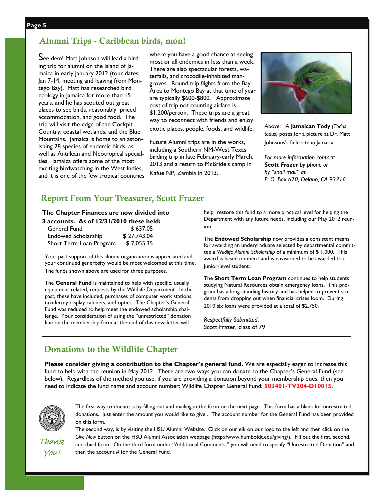# Alumni Trips - Caribbean birds, mon!

See dem! Matt Johnson will lead a birding trip for alumni on the island of Jamaica in early January 2012 (tour dates: Jan 7-14, meeting and leaving from Montego Bay). Matt has researched bird ecology in Jamaica for more than 15 years, and he has scouted out great places to see birds, reasonably priced accommodation, and good food. The trip will visit the edge of the Cockpit Country, coastal wetlands, and the Blue Mountains. Jamaica is home to an astonishing 28 species of endemic birds, as well as Antillean and Neotropical specialties. Jamaica offers some of the most exciting birdwatching in the West Indies, and it is one of the few tropical countries where you have a good chance at seeing most or all endemics in less than a week. There are also spectacular forests, waterfalls, and crocodile-inhabited mangroves. Round trip flights from the Bay Area to Montego Bay at that time of year are typically \$600-\$800. Approximate cost of trip not counting airfare is \$1,200/person. These trips are a great way to reconnect with friends and enjoy exotic places, people, foods, and wildlife.

Future Alumni trips are in the works, including a Southern NM-West Texas birding trip in late February-early March, 2013 and a return to McBride's camp in Kafue NP, Zambia in 2013.



Above: A **Jamaican Tody** *(Todus todus)* poses for a picture at Dr. Matt Johnsons's field site in Jamaica,.

*For more information contact: Scott Frazer by phone or by "snail mail" at P. O. Box 670, Delano, CA 93216.* 

# Report From Your Treasurer, Scott Frazer

#### **The Chapter Finances are now divided into**

#### **3 accounts. As of 12/31/2010 these held:**

| General Fund               | \$637.05    |
|----------------------------|-------------|
| <b>Endowed Scholarship</b> | \$27,743.04 |
| Short Term Loan Program    | \$7,055.35  |

Your past support of this alumni organization is appreciated and your continued generosity would be most welcomed at this time. The funds shown above are used for three purposes.

The **General Fund** is maintained to help with specific, usually equipment related, requests by the Wildlife Department. In the past, these have included, purchases of computer work stations, taxidermy display cabinets, and optics. The Chapter's General Fund was reduced to help meet the endowed scholarship challenge. Your consideration of using the "unrestricted" donation line on the membership form at the end of this newsletter will

help restore this fund to a more practical level for helping the Department with any future needs, including our May 2012 reunion.

The **Endowed Scholarship** now provides a consistent means for awarding an undergraduate selected by departmental committee a *Wildlife Alumni Scholarship* of a minimum of \$ 1,000. This award is based on merit and is envisioned to be awarded to a Junior-level student.

The **Short Term Loan Program** continues to help students studying Natural Resources obtain emergency loans. This program has a long-standing history and has helped to prevent students from dropping out when financial crises loom. During 2010 six loans were provided at a total of \$2,750.

*Respectfully Submitted*, Scott Frazer, class of 79

### Donations to the Wildlife Chapter

**Please consider giving a contribution to the Chapter's general fund.** We are especially eager to increase this fund to help with the reunion in May 2012. There are two ways you can donate to the Chapter's General Fund (see below). Regardless of the method you use, if you are providing a donation beyond your membership dues, then you need to indicate the fund name and account number: Wildlife Chapter General Fund: **503401**‐**TV204**‐**D10015.**



The first way to donate is by filling out and mailing in the form on the next page. This form has a blank for unrestricted donations. Just enter the amount you would like to give . The account number for the General Fund has been provided on this form.

Thank You!

The second way, is by visiting the HSU Alumni Website. Click on our elk on our logo to the left and then click on the *Give Now* button on the HSU Alumni Association webpage (http://www.humboldt.edu/giving/). Fill out the first, second, and third form. On the third form under "Additional Comments," you will need to specify "Unrestricted Donation" and then the account # for the General Fund.